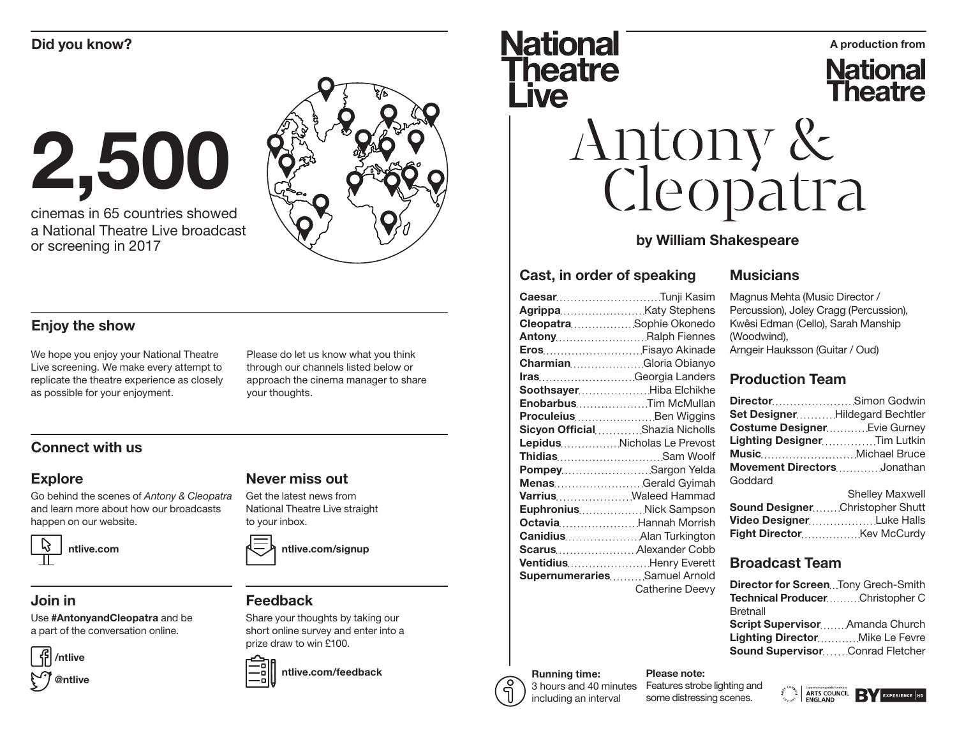# 2,500

cinemas in 65 countries showed a National Theatre Live broadcast or screening in 2017



#### Enjoy the show

We hope you enjoy your National Theatre Live screening. We make every attempt to replicate the theatre experience as closely as possible for your enjoyment.

Please do let us know what you think through our channels listed below or approach the cinema manager to share your thoughts.

### Connect with us

#### Explore

Go behind the scenes of *Antony & Cleopatra* and learn more about how our broadcasts happen on our website.



#### Join in

Use #AntonyandCleopatra and be a part of the conversation online.



#### Get the latest news from National Theatre Live straight to your inbox.

Never miss out

ntlive.com/signup

#### Feedback

Share your thoughts by taking our short online survey and enter into a prize draw to win £100.



ntlive.com/feedback

## Did you know? A production from **Theatre** Live

**National Theatre** 

# Antony &<br>Cleopatra

#### by William Shakespeare

#### Cast, in order of speaking

| <b>CaesarTunji Kasim</b>       |
|--------------------------------|
| Agrippa Katy Stephens          |
| CleopatraSophie Okonedo        |
| AntonyRalph Fiennes            |
| Eros Fisayo Akinade            |
| CharmianGloria Obianyo         |
| IrasGeorgia Landers            |
| Soothsayer Hiba Elchikhe       |
| EnobarbusTim McMullan          |
|                                |
| Sicyon OfficialShazia Nicholls |
| LepidusNicholas Le Prevost     |
| ThidiasSam Woolf               |
| Pompey Sargon Yelda            |
| MenasGerald Gyimah             |
| Varrius Waleed Hammad          |
| Euphronius Nick Sampson        |
| Octavia Hannah Morrish         |
| Canidius Alan Turkington       |
| Scarus Alexander Cobb          |
| Ventidius Henry Everett        |
| SupernumerariesSamuel Arnold   |
| Catherine Deevy                |
|                                |

#### **Musicians**

Magnus Mehta (Music Director / Percussion), Joley Cragg (Percussion), Kwêsi Edman (Cello), Sarah Manship (Woodwind), Arngeir Hauksson (Guitar / Oud)

#### Production Team

| Set DesignerHildegard Bechtler      |                                             |
|-------------------------------------|---------------------------------------------|
| <b>Costume Designer Evie Gurney</b> |                                             |
| Lighting DesignerTim Lutkin         |                                             |
|                                     |                                             |
| Movement DirectorsJonathan          |                                             |
| Goddard                             |                                             |
|                                     | $O1$ all as $I2$ $I3$ $I4$ as $I1$ and $I2$ |

|                                        | <b>Shelley Maxwell</b> |
|----------------------------------------|------------------------|
| <b>Sound DesignerChristopher Shutt</b> |                        |
| Video Designer Luke Halls              |                        |
|                                        |                        |

#### Broadcast Team

| <b>Director for ScreenTony Grech-Smith</b> |  |
|--------------------------------------------|--|
| <b>Technical ProducerChristopher C</b>     |  |
| <b>Bretnall</b>                            |  |
| Script SupervisorAmanda Church             |  |
|                                            |  |
| Lighting DirectorMike Le Fevre             |  |

#### Running time: 3 hours and 40 minutes

including an interval

Features strobe lighting and some distressing scenes.

Please note: